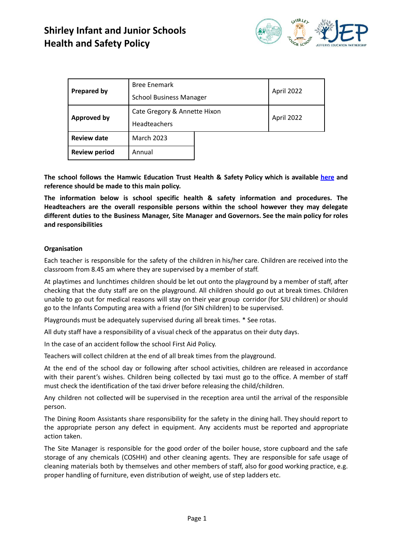

| <b>Prepared by</b>   | <b>Bree Enemark</b>            |  | April 2022 |
|----------------------|--------------------------------|--|------------|
|                      | <b>School Business Manager</b> |  |            |
| <b>Approved by</b>   | Cate Gregory & Annette Hixon   |  | April 2022 |
|                      | <b>Headteachers</b>            |  |            |
| <b>Review date</b>   | <b>March 2023</b>              |  |            |
| <b>Review period</b> | Annual                         |  |            |

**The school follows the Hamwic Education Trust Health & Safety Policy which is available [here](https://www.hamwic.org/policies) and reference should be made to this main policy.**

**The information below is school specific health & safety information and procedures. The Headteachers are the overall responsible persons within the school however they may delegate different duties to the Business Manager, Site Manager and Governors. See the main policy for roles and responsibilities**

## **Organisation**

Each teacher is responsible for the safety of the children in his/her care. Children are received into the classroom from 8.45 am where they are supervised by a member of staff.

At playtimes and lunchtimes children should be let out onto the playground by a member of staff, after checking that the duty staff are on the playground. All children should go out at break times. Children unable to go out for medical reasons will stay on their year group corridor (for SJU children) or should go to the Infants Computing area with a friend (for SIN children) to be supervised.

Playgrounds must be adequately supervised during all break times. \* See rotas.

All duty staff have a responsibility of a visual check of the apparatus on their duty days.

In the case of an accident follow the school First Aid Policy.

Teachers will collect children at the end of all break times from the playground.

At the end of the school day or following after school activities, children are released in accordance with their parent's wishes. Children being collected by taxi must go to the office. A member of staff must check the identification of the taxi driver before releasing the child/children.

Any children not collected will be supervised in the reception area until the arrival of the responsible person.

The Dining Room Assistants share responsibility for the safety in the dining hall. They should report to the appropriate person any defect in equipment. Any accidents must be reported and appropriate action taken.

The Site Manager is responsible for the good order of the boiler house, store cupboard and the safe storage of any chemicals (COSHH) and other cleaning agents. They are responsible for safe usage of cleaning materials both by themselves and other members of staff, also for good working practice, e.g. proper handling of furniture, even distribution of weight, use of step ladders etc.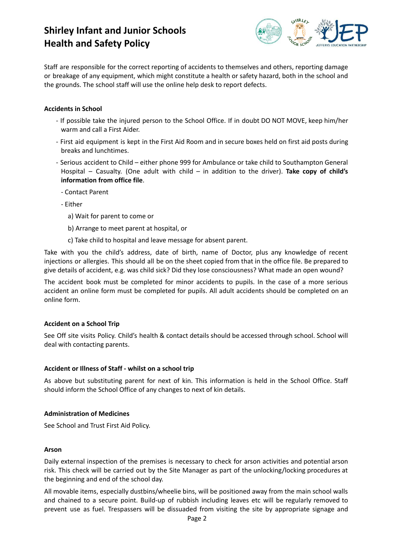

Staff are responsible for the correct reporting of accidents to themselves and others, reporting damage or breakage of any equipment, which might constitute a health or safety hazard, both in the school and the grounds. The school staff will use the online help desk to report defects.

## **Accidents in School**

- If possible take the injured person to the School Office. If in doubt DO NOT MOVE, keep him/her warm and call a First Aider.
- First aid equipment is kept in the First Aid Room and in secure boxes held on first aid posts during breaks and lunchtimes.
- Serious accident to Child either phone 999 for Ambulance or take child to Southampton General Hospital – Casualty. (One adult with child – in addition to the driver). **Take copy of child's information from office file**.
	- Contact Parent
	- Either
		- a) Wait for parent to come or
		- b) Arrange to meet parent at hospital, or
		- c) Take child to hospital and leave message for absent parent.

Take with you the child's address, date of birth, name of Doctor, plus any knowledge of recent injections or allergies. This should all be on the sheet copied from that in the office file. Be prepared to give details of accident, e.g. was child sick? Did they lose consciousness? What made an open wound?

The accident book must be completed for minor accidents to pupils. In the case of a more serious accident an online form must be completed for pupils. All adult accidents should be completed on an online form.

### **Accident on a School Trip**

See Off site visits Policy. Child's health & contact details should be accessed through school. School will deal with contacting parents.

### **Accident or Illness of Staff - whilst on a school trip**

As above but substituting parent for next of kin. This information is held in the School Office. Staff should inform the School Office of any changes to next of kin details.

### **Administration of Medicines**

See School and Trust First Aid Policy.

### **Arson**

Daily external inspection of the premises is necessary to check for arson activities and potential arson risk. This check will be carried out by the Site Manager as part of the unlocking/locking procedures at the beginning and end of the school day.

All movable items, especially dustbins/wheelie bins, will be positioned away from the main school walls and chained to a secure point. Build-up of rubbish including leaves etc will be regularly removed to prevent use as fuel. Trespassers will be dissuaded from visiting the site by appropriate signage and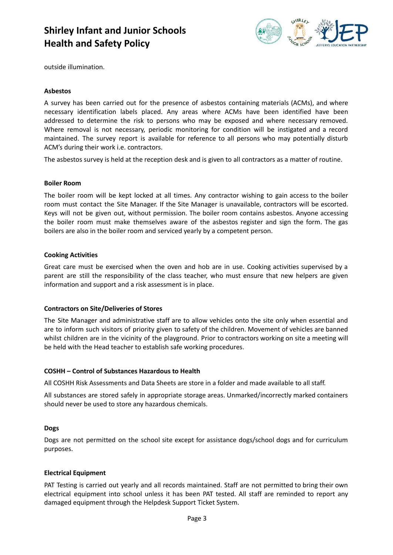

outside illumination.

### **Asbestos**

A survey has been carried out for the presence of asbestos containing materials (ACMs), and where necessary identification labels placed. Any areas where ACMs have been identified have been addressed to determine the risk to persons who may be exposed and where necessary removed. Where removal is not necessary, periodic monitoring for condition will be instigated and a record maintained. The survey report is available for reference to all persons who may potentially disturb ACM's during their work i.e. contractors.

The asbestos survey is held at the reception desk and is given to all contractors as a matter of routine.

### **Boiler Room**

The boiler room will be kept locked at all times. Any contractor wishing to gain access to the boiler room must contact the Site Manager. If the Site Manager is unavailable, contractors will be escorted. Keys will not be given out, without permission. The boiler room contains asbestos. Anyone accessing the boiler room must make themselves aware of the asbestos register and sign the form. The gas boilers are also in the boiler room and serviced yearly by a competent person.

### **Cooking Activities**

Great care must be exercised when the oven and hob are in use. Cooking activities supervised by a parent are still the responsibility of the class teacher, who must ensure that new helpers are given information and support and a risk assessment is in place.

### **Contractors on Site/Deliveries of Stores**

The Site Manager and administrative staff are to allow vehicles onto the site only when essential and are to inform such visitors of priority given to safety of the children. Movement of vehicles are banned whilst children are in the vicinity of the playground. Prior to contractors working on site a meeting will be held with the Head teacher to establish safe working procedures.

### **COSHH – Control of Substances Hazardous to Health**

All COSHH Risk Assessments and Data Sheets are store in a folder and made available to all staff.

All substances are stored safely in appropriate storage areas. Unmarked/incorrectly marked containers should never be used to store any hazardous chemicals.

### **Dogs**

Dogs are not permitted on the school site except for assistance dogs/school dogs and for curriculum purposes.

### **Electrical Equipment**

PAT Testing is carried out yearly and all records maintained. Staff are not permitted to bring their own electrical equipment into school unless it has been PAT tested. All staff are reminded to report any damaged equipment through the Helpdesk Support Ticket System.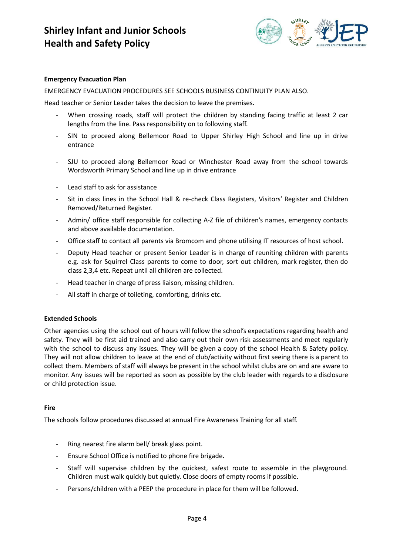

## **Emergency Evacuation Plan**

EMERGENCY EVACUATION PROCEDURES SEE SCHOOLS BUSINESS CONTINUITY PLAN ALSO.

Head teacher or Senior Leader takes the decision to leave the premises.

- When crossing roads, staff will protect the children by standing facing traffic at least 2 car lengths from the line. Pass responsibility on to following staff.
- SIN to proceed along Bellemoor Road to Upper Shirley High School and line up in drive entrance
- SJU to proceed along Bellemoor Road or Winchester Road away from the school towards Wordsworth Primary School and line up in drive entrance
- Lead staff to ask for assistance
- Sit in class lines in the School Hall & re-check Class Registers, Visitors' Register and Children Removed/Returned Register.
- Admin/ office staff responsible for collecting A-Z file of children's names, emergency contacts and above available documentation.
- Office staff to contact all parents via Bromcom and phone utilising IT resources of host school.
- Deputy Head teacher or present Senior Leader is in charge of reuniting children with parents e.g. ask for Squirrel Class parents to come to door, sort out children, mark register, then do class 2,3,4 etc. Repeat until all children are collected.
- Head teacher in charge of press liaison, missing children.
- All staff in charge of toileting, comforting, drinks etc.

### **Extended Schools**

Other agencies using the school out of hours will follow the school's expectations regarding health and safety. They will be first aid trained and also carry out their own risk assessments and meet regularly with the school to discuss any issues. They will be given a copy of the school Health & Safety policy. They will not allow children to leave at the end of club/activity without first seeing there is a parent to collect them. Members of staff will always be present in the school whilst clubs are on and are aware to monitor. Any issues will be reported as soon as possible by the club leader with regards to a disclosure or child protection issue.

### **Fire**

The schools follow procedures discussed at annual Fire Awareness Training for all staff.

- Ring nearest fire alarm bell/ break glass point.
- Ensure School Office is notified to phone fire brigade.
- Staff will supervise children by the quickest, safest route to assemble in the playground. Children must walk quickly but quietly. Close doors of empty rooms if possible.
- Persons/children with a PEEP the procedure in place for them will be followed.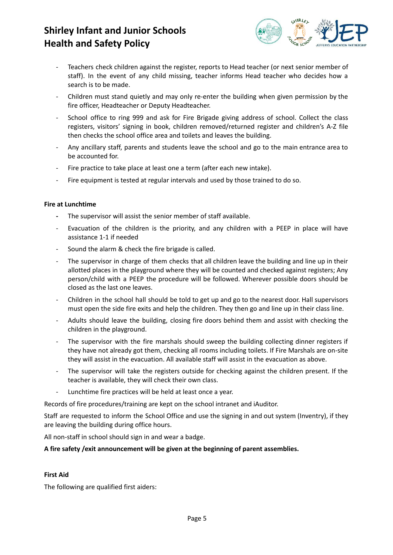

- Teachers check children against the register, reports to Head teacher (or next senior member of staff). In the event of any child missing, teacher informs Head teacher who decides how a search is to be made.
- Children must stand quietly and may only re-enter the building when given permission by the fire officer, Headteacher or Deputy Headteacher.
- School office to ring 999 and ask for Fire Brigade giving address of school. Collect the class registers, visitors' signing in book, children removed/returned register and children's A-Z file then checks the school office area and toilets and leaves the building.
- Any ancillary staff, parents and students leave the school and go to the main entrance area to be accounted for.
- Fire practice to take place at least one a term (after each new intake).
- Fire equipment is tested at regular intervals and used by those trained to do so.

## **Fire at Lunchtime**

- **-** The supervisor will assist the senior member of staff available.
- Evacuation of the children is the priority, and any children with a PEEP in place will have assistance 1-1 if needed
- Sound the alarm & check the fire brigade is called.
- The supervisor in charge of them checks that all children leave the building and line up in their allotted places in the playground where they will be counted and checked against registers; Any person/child with a PEEP the procedure will be followed. Wherever possible doors should be closed as the last one leaves.
- Children in the school hall should be told to get up and go to the nearest door. Hall supervisors must open the side fire exits and help the children. They then go and line up in their class line.
- Adults should leave the building, closing fire doors behind them and assist with checking the children in the playground.
- The supervisor with the fire marshals should sweep the building collecting dinner registers if they have not already got them, checking all rooms including toilets. If Fire Marshals are on-site they will assist in the evacuation. All available staff will assist in the evacuation as above.
- The supervisor will take the registers outside for checking against the children present. If the teacher is available, they will check their own class.
- Lunchtime fire practices will be held at least once a year.

Records of fire procedures/training are kept on the school intranet and iAuditor.

Staff are requested to inform the School Office and use the signing in and out system (Inventry), if they are leaving the building during office hours.

All non-staff in school should sign in and wear a badge.

# **A fire safety /exit announcement will be given at the beginning of parent assemblies.**

### **First Aid**

The following are qualified first aiders: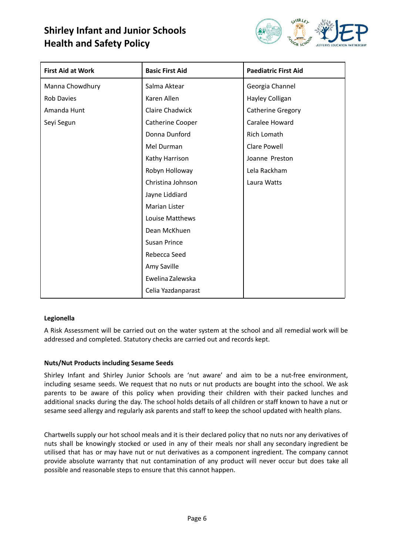

| <b>First Aid at Work</b> | <b>Basic First Aid</b> | <b>Paediatric First Aid</b> |
|--------------------------|------------------------|-----------------------------|
| Manna Chowdhury          | Salma Aktear           | Georgia Channel             |
| <b>Rob Davies</b>        | Karen Allen            | Hayley Colligan             |
| Amanda Hunt              | <b>Claire Chadwick</b> | <b>Catherine Gregory</b>    |
| Seyi Segun               | Catherine Cooper       | Caralee Howard              |
|                          | Donna Dunford          | <b>Rich Lomath</b>          |
|                          | Mel Durman             | <b>Clare Powell</b>         |
|                          | Kathy Harrison         | Joanne Preston              |
|                          | Robyn Holloway         | Lela Rackham                |
|                          | Christina Johnson      | Laura Watts                 |
|                          | Jayne Liddiard         |                             |
|                          | <b>Marian Lister</b>   |                             |
|                          | Louise Matthews        |                             |
|                          | Dean McKhuen           |                             |
|                          | <b>Susan Prince</b>    |                             |
|                          | Rebecca Seed           |                             |
|                          | Amy Saville            |                             |
|                          | Ewelina Zalewska       |                             |
|                          | Celia Yazdanparast     |                             |

# **Legionella**

A Risk Assessment will be carried out on the water system at the school and all remedial work will be addressed and completed. Statutory checks are carried out and records kept.

# **Nuts/Nut Products including Sesame Seeds**

Shirley Infant and Shirley Junior Schools are 'nut aware' and aim to be a nut-free environment, including sesame seeds. We request that no nuts or nut products are bought into the school. We ask parents to be aware of this policy when providing their children with their packed lunches and additional snacks during the day. The school holds details of all children or staff known to have a nut or sesame seed allergy and regularly ask parents and staff to keep the school updated with health plans.

Chartwells supply our hot school meals and it is their declared policy that no nuts nor any derivatives of nuts shall be knowingly stocked or used in any of their meals nor shall any secondary ingredient be utilised that has or may have nut or nut derivatives as a component ingredient. The company cannot provide absolute warranty that nut contamination of any product will never occur but does take all possible and reasonable steps to ensure that this cannot happen.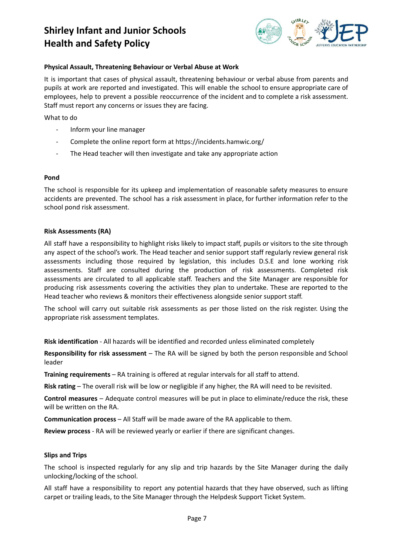

# **Physical Assault, Threatening Behaviour or Verbal Abuse at Work**

It is important that cases of physical assault, threatening behaviour or verbal abuse from parents and pupils at work are reported and investigated. This will enable the school to ensure appropriate care of employees, help to prevent a possible reoccurrence of the incident and to complete a risk assessment. Staff must report any concerns or issues they are facing.

What to do

- Inform your line manager
- Complete the online report form at https://incidents.hamwic.org/
- The Head teacher will then investigate and take any appropriate action

### **Pond**

The school is responsible for its upkeep and implementation of reasonable safety measures to ensure accidents are prevented. The school has a risk assessment in place, for further information refer to the school pond risk assessment.

### **Risk Assessments (RA)**

All staff have a responsibility to highlight risks likely to impact staff, pupils or visitors to the site through any aspect of the school's work. The Head teacher and senior support staff regularly review general risk assessments including those required by legislation, this includes D.S.E and lone working risk assessments. Staff are consulted during the production of risk assessments. Completed risk assessments are circulated to all applicable staff. Teachers and the Site Manager are responsible for producing risk assessments covering the activities they plan to undertake. These are reported to the Head teacher who reviews & monitors their effectiveness alongside senior support staff.

The school will carry out suitable risk assessments as per those listed on the risk register. Using the appropriate risk assessment templates.

**Risk identification** - All hazards will be identified and recorded unless eliminated completely

**Responsibility for risk assessment** – The RA will be signed by both the person responsible and School leader

**Training requirements** – RA training is offered at regular intervals for all staff to attend.

**Risk rating** – The overall risk will be low or negligible if any higher, the RA will need to be revisited.

**Control measures** – Adequate control measures will be put in place to eliminate/reduce the risk, these will be written on the RA.

**Communication process** – All Staff will be made aware of the RA applicable to them.

**Review process** - RA will be reviewed yearly or earlier if there are significant changes.

### **Slips and Trips**

The school is inspected regularly for any slip and trip hazards by the Site Manager during the daily unlocking/locking of the school.

All staff have a responsibility to report any potential hazards that they have observed, such as lifting carpet or trailing leads, to the Site Manager through the Helpdesk Support Ticket System.